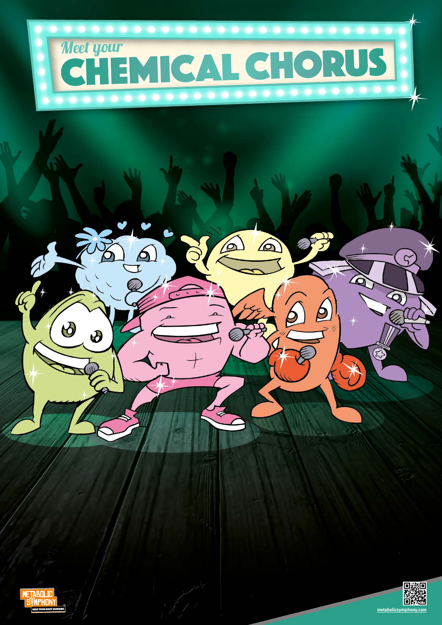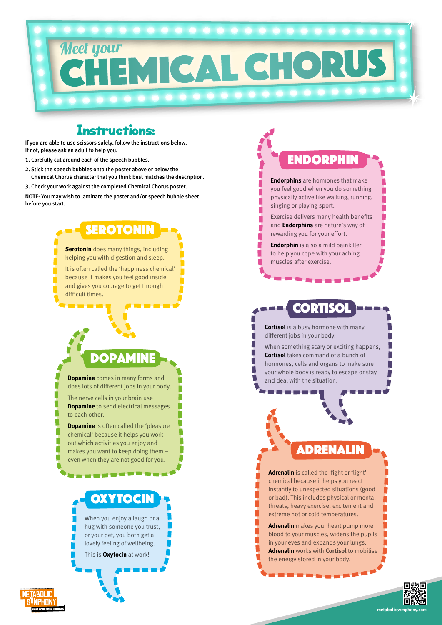#### Instructions:

If you are able to use scissors safely, follow the instructions below. If not, please ask an adult to help you.

# Meet your ICAL CHOR

- **1.** Carefully cut around each of the speech bubbles.
- **2.** Stick the speech bubbles onto the poster above or below the Chemical Chorus character that you think best matches the description.
- **3.** Check your work against the completed Chemical Chorus poster.

**NOTE:** You may wish to laminate the poster and/or speech bubble sheet before you start.

**metabolicsymphony.com**

When you enjoy a laugh or a hug with someone you trust, or your pet, you both get a lovely feeling of wellbeing.

This is **Oxytocin** at work!

**METABDLIC** 

**Serotonin** does many things, including

**SEROTONIN** 

helping you with digestion and sleep. It is often called the 'happiness chemical'

because it makes you feel good inside and gives you courage to get through difficult times.

> **Cortisol** is a busy hormone with many different jobs in your body.

When something scary or exciting happens, **Cortisol** takes command of a bunch of hormones, cells and organs to make sure your whole body is ready to escape or stay and deal with the situation.

**Dopamine** is often called the 'pleasure' chemical' because it helps you work out which activities you enjoy and makes you want to keep doing them – even when they are not good for you.

CORTISOL

# **ENDORPHIN**

**OXYTOCIN** 

**Endorphins** are hormones that make you feel good when you do something physically active like walking, running, singing or playing sport.

Exercise delivers many health benefits and **Endorphins** are nature's way of rewarding you for your effort.

**Endorphin** is also a mild painkiller to help you cope with your aching muscles after exercise.

**Adrenalin** is called the 'fight or flight' chemical because it helps you react instantly to unexpected situations (good or bad). This includes physical or mental threats, heavy exercise, excitement and extreme hot or cold temperatures.

**Adrenalin** makes your heart pump more blood to your muscles, widens the pupils in your eyes and expands your lungs. **Adrenalin** works with **Cortisol** to mobilise the energy stored in your body.



Adrenalin



The nerve cells in your brain use **Dopamine** to send electrical messages to each other.

Dopamine